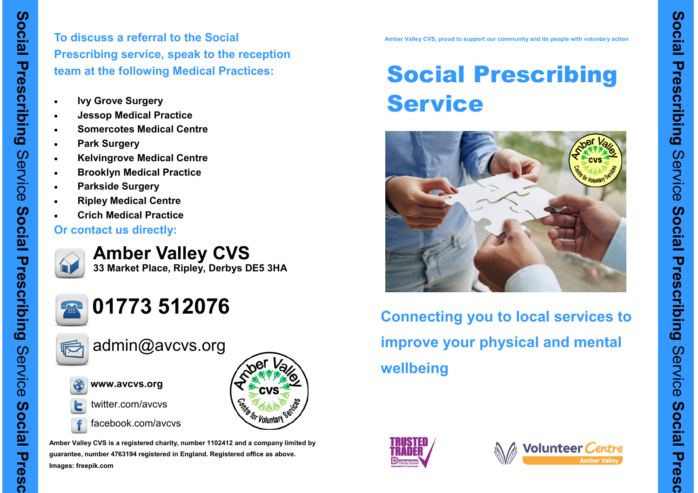

**Pres** 

 $\ddot{\mathbf{c}}$ 

**To discuss a referral to the Social Prescribing service, speak to the reception team at the following Medical Practices:**

- **Ivy Grove Surgery**
- **Jessop Medical Practice**
- **Somercotes Medical Centre**
- **Park Surgery**
- **Kelvingrove Medical Centre**
- **Brooklyn Medical Practice**
- **Parkside Surgery**
- **Ripley Medical Centre**
- **Crich Medical Practice**
- **Or contact us directly:**



**Amber Valley CVS 33 Market Place, Ripley, Derbys DE5 3HA**



# **01773 512076**



admin@avcvs.org



**www.avcvs.org**



- twitter.com/avcvs
- facebook.com/avcvs



**Amber Valley CVS is a registered charity, number 1102412 and a company limited by guarantee, number 4763194 registered in England. Registered office as above. Images: freepik.com**

**Amber Valley CVS, proud to support our community and its people with voluntary action**

# Social Prescribing **Service**



**Connecting you to local services to improve your physical and mental wellbeing**